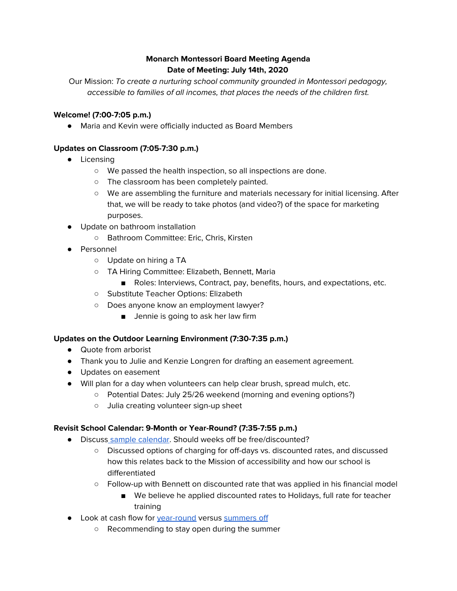## **Monarch Montessori Board Meeting Agenda Date of Meeting: July 14th, 2020**

Our Mission: To create a nurturing school community grounded in Montessori pedagogy, accessible to families of all incomes, that places the needs of the children first.

#### **Welcome! (7:00-7:05 p.m.)**

● Maria and Kevin were officially inducted as Board Members

#### **Updates on Classroom (7:05-7:30 p.m.)**

- Licensing
	- We passed the health inspection, so all inspections are done.
	- The classroom has been completely painted.
	- We are assembling the furniture and materials necessary for initial licensing. After that, we will be ready to take photos (and video?) of the space for marketing purposes.
- Update on bathroom installation
	- Bathroom Committee: Eric, Chris, Kirsten
- Personnel
	- Update on hiring a TA
	- TA Hiring Committee: Elizabeth, Bennett, Maria
		- Roles: Interviews, Contract, pay, benefits, hours, and expectations, etc.
	- Substitute Teacher Options: Elizabeth
	- Does anyone know an employment lawyer?
		- Jennie is going to ask her law firm

#### **Updates on the Outdoor Learning Environment (7:30-7:35 p.m.)**

- Quote from arborist
- Thank you to Julie and Kenzie Longren for drafting an easement agreement.
- Updates on easement
- Will plan for a day when volunteers can help clear brush, spread mulch, etc.
	- Potential Dates: July 25/26 weekend (morning and evening options?)
	- Julia creating volunteer sign-up sheet

#### **Revisit School Calendar: 9-Month or Year-Round? (7:35-7:55 p.m.)**

- Discuss sample [calendar](https://docs.google.com/document/d/10msfZg073Y-g9-apxjQNzSEpF4yBjil6bS0_fSv1lIU/edit?usp=sharing). Should weeks off be free/discounted?
	- Discussed options of charging for off-days vs. discounted rates, and discussed how this relates back to the Mission of accessibility and how our school is differentiated
	- Follow-up with Bennett on discounted rate that was applied in his financial model
		- We believe he applied discounted rates to Holidays, full rate for teacher training
- Look at cash flow for [year-round](https://docs.google.com/spreadsheets/d/1BWKBW2Et2SzeKdbPRtdr6YjsVuYaILN0HtWrcyRt3Zg/edit?usp=sharing) versus [summers](https://docs.google.com/spreadsheets/d/1V0SSlX4zWt0-E6wJHSyZ8NJwG-10n4icoY9KEuCAx4Y/edit?usp=sharing) off
	- Recommending to stay open during the summer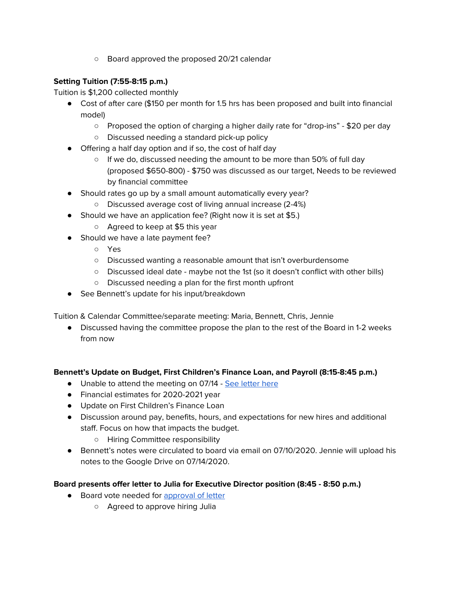○ Board approved the proposed 20/21 calendar

## **Setting Tuition (7:55-8:15 p.m.)**

Tuition is \$1,200 collected monthly

- Cost of after care (\$150 per month for 1.5 hrs has been proposed and built into financial model)
	- Proposed the option of charging a higher daily rate for "drop-ins" \$20 per day
	- Discussed needing a standard pick-up policy
- Offering a half day option and if so, the cost of half day
	- If we do, discussed needing the amount to be more than 50% of full day (proposed \$650-800) - \$750 was discussed as our target, Needs to be reviewed by financial committee
- Should rates go up by a small amount automatically every year?
	- Discussed average cost of living annual increase (2-4%)
- Should we have an application fee? (Right now it is set at \$5.)
	- Agreed to keep at \$5 this year
- Should we have a late payment fee?
	- Yes
	- Discussed wanting a reasonable amount that isn't overburdensome
	- Discussed ideal date maybe not the 1st (so it doesn't conflict with other bills)
	- Discussed needing a plan for the first month upfront
- See Bennett's update for his input/breakdown

Tuition & Calendar Committee/separate meeting: Maria, Bennett, Chris, Jennie

● Discussed having the committee propose the plan to the rest of the Board in 1-2 weeks from now

## **Bennett's Update on Budget, First Children's Finance Loan, and Payroll (8:15-8:45 p.m.)**

- Unable to attend the meeting on 07/14 See [letter](https://drive.google.com/file/d/1Wab8gVw-Va3bXJOek37goupEn33OQ3RW/view?usp=sharing) here
- Financial estimates for 2020-2021 year
- Update on First Children's Finance Loan
- Discussion around pay, benefits, hours, and expectations for new hires and additional staff. Focus on how that impacts the budget.
	- Hiring Committee responsibility
- Bennett's notes were circulated to board via email on 07/10/2020. Jennie will upload his notes to the Google Drive on 07/14/2020.

## **Board presents offer letter to Julia for Executive Director position (8:45 - 8:50 p.m.)**

- Board vote needed for [approval](https://drive.google.com/file/d/1U6MuOWH_RAxiQyeRIIZO-CRn6QrbjWwg/view?usp=sharing) of letter
	- Agreed to approve hiring Julia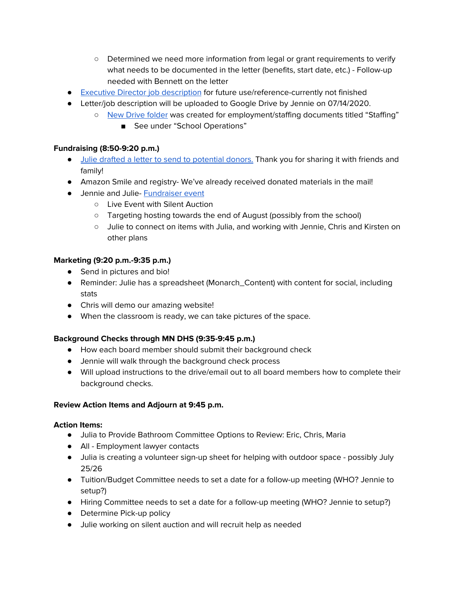- Determined we need more information from legal or grant requirements to verify what needs to be documented in the letter (benefits, start date, etc.) - Follow-up needed with Bennett on the letter
- Executive Director job [description](https://drive.google.com/file/d/1rq1Ekz1yT_jmK7vTL7iCg0t_KVXlFRpc/view?usp=sharing) for future use/reference-currently not finished
- Letter/job description will be uploaded to Google Drive by Jennie on 07/14/2020.
	- New Drive [folder](https://drive.google.com/drive/folders/1LA83g3y7Bed1N6sDAKzAv7T13gZMOfcU?usp=sharing) was created for employment/staffing documents titled "Staffing"
		- See under "School Operations"

## **Fundraising (8:50-9:20 p.m.)**

- Julie drafted a letter to send to [potential](https://monarchmontes-ekw9044.slack.com/archives/DTSQ4H0BS/p1594773210000100) donors. Thank you for sharing it with friends and family!
- Amazon Smile and registry- We've already received donated materials in the mail!
- Jennie and Julie- [Fundraiser](https://docs.google.com/spreadsheets/d/1IhrmGc0IzE2p3mk5A3DK0ONLKD8eFxPVlXn35pxvs4s/edit#gid=0) event
	- Live Event with Silent Auction
	- Targeting hosting towards the end of August (possibly from the school)
	- Julie to connect on items with Julia, and working with Jennie, Chris and Kirsten on other plans

# **Marketing (9:20 p.m.-9:35 p.m.)**

- Send in pictures and bio!
- Reminder: Julie has a spreadsheet (Monarch\_Content) with content for social, including stats
- Chris will demo our amazing website!
- When the classroom is ready, we can take pictures of the space.

## **Background Checks through MN DHS (9:35-9:45 p.m.)**

- How each board member should submit their background check
- Jennie will walk through the background check process
- Will upload instructions to the drive/email out to all board members how to complete their background checks.

## **Review Action Items and Adjourn at 9:45 p.m.**

## **Action Items:**

- Julia to Provide Bathroom Committee Options to Review: Eric, Chris, Maria
- All Employment lawyer contacts
- Julia is creating a volunteer sign-up sheet for helping with outdoor space possibly July 25/26
- Tuition/Budget Committee needs to set a date for a follow-up meeting (WHO? Jennie to setup?)
- Hiring Committee needs to set a date for a follow-up meeting (WHO? Jennie to setup?)
- Determine Pick-up policy
- Julie working on silent auction and will recruit help as needed